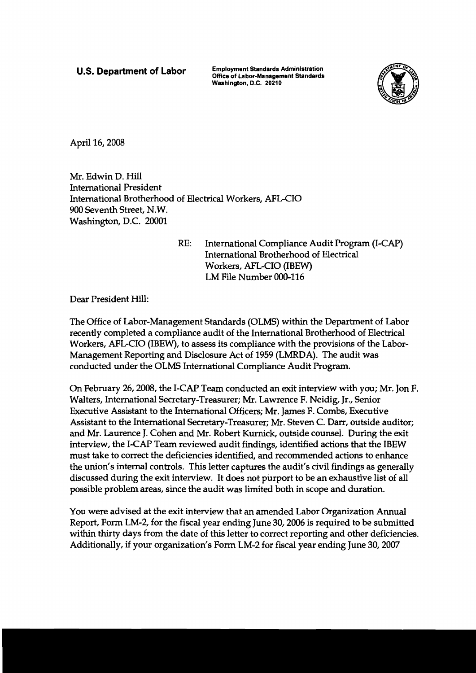Employment Standards Administration **Department Of Labor** Office of Labor-Management Standards Washington, **D.C. 20210** 



April 16,2008

Mr. Edwin D. Hill International President International Brotherhood of Electrical Workers, AFL-CIO 900 Seventh Street, N.W. Washington, D.C. 20001

> RE: International Compliance Audit Program (I-CAP) International Brotherhood of Electrical Workers, AFL-CIO (IBEW) LM File Number 000-116

Dear President Hill:

The Office of Labor-Management Standards (OLMS) within the Department of Labor recently compIeted a compliance audit of the International Brotherhood of Electrical Workers, AFL-CIO (IBEW), to assess its compliance with the provisions of the Labor-Management Reporting and Disclosure Act of 1959 (LMRDA). The audit was conducted under the OLMS International Compliance Audit Program.

On February 26,2008, the I-CAP Team conducted an exit interview with you; Mr. Jon F. Walters, International Secretary-Treasurer; Mr. Lawrence F. Neidig, Jr., Senior Executive Assistant to the International Officers; Mr. James F. Combs, Executive Assistant to the International Secretary-Treasurer; Mr. Steven C. Darr, outside auditor; and Mr. Laurence J. Cohen and Mr. Robert Kurnick, outside counsel. During the exit interview, the I-CAP Team reviewed audit findings, identified actions that the IBEW must take to correct the deficiencies identified, and recommended actions to enhance the union's internal controls. This letter captures the audit's civil findings as generally discussed during the exit interview. It does not purport to be an exhaustive list of all possible problem areas, since the audit was limited both in scope and duration.

You were advised at the exit interview that an amended Labor Organization Annual Report, Form LM-2, for the fiscal year ending June 30,2006 is required to be submitted within thirty days from the date of this letter to correct reporting and other deficiencies. Additionally, if your organization's Form LM-2 for fiscal year ending June 30,2007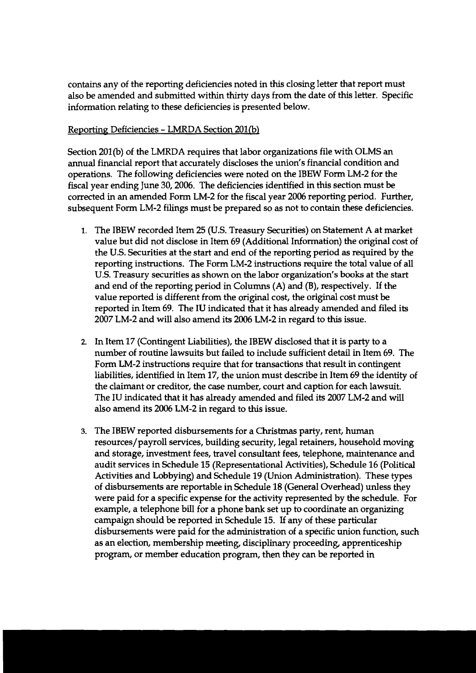contains any of the reporting deficiencies noted in this closing letter that report must also be amended and submitted within thirty days from the date of this letter. Specific information relating to these deficiencies is presented below.

## Reporting Deficiencies - LMRDA Section 201(b)

Section 201(b) of the LMRDA requires that labor organizations file with OLMS an annual financial report that accurately discloses the union's financial condition and operations. The following deficiencies were noted on the IBEW Form LM-2 for the fiscal year ending June 30,2006. The deficiencies identified in this section must be corrected in an amended Form LM-2 for the fiscal year 2006 reporting period. Further, subsequent Form LM-2 filings must be prepared so as not to contain these deficiencies.

- I. The IBEW recorded Item 25 (U.S. Treasury Securities) on Statement A at market value but did not disclose in Item 69 (Additional Information) the original cost of the U.S. Securities at the start and end of the reporting period as required by the reporting instructions. The Form LM-2 instructions require the total value of all U.S. Treasury securities as shown on the labor organization's books at the start and end of the reporting period in Columns (A) **and** (B), respectively. If the value reported is different from the original cost, the original cost must be reported in Item 69. The IU indicated that it has already amended and filed its 2007 LM-2 and will also amend its 2006 LM-2 in regard to this issue.
- 2. In Item 17 (Contingent Liabilities), the IBEW disclosed that it is party to a number of routine lawsuits but failed to include sufficient detail in Item 69. The Form LM-2 instructions require that for transactions that result in contingent liabilities, identified in Item 17, the union must describe in Item 69 the identity of the claimant or creditor, the case number, court and caption for each lawsuit. The IU indicated that it has already amended and filed its 2007 LM-2 and will also amend its 2006 LM-2 in regard to this issue.
- 3. The IBEW reported disbursements for a Christmas party, rent, human resources/payroll services, building security, legal retainers, household moving and storage, investment fees, travel consultant fees, telephone, maintenance and audit services in Schedule 15 (Representational Activities), Schedule 16 (Political Activities and Lobbying) and Schedule 19 (Union Administration). These types of disbursements are reportable in Schedule 18 (General Overhead) unless they were paid for a specific expense for the activity represented by the schedule. For example, a telephone bill for a phone bank set up to coordinate an organizing campaign should be reported in Schedule 15. **If** any of these particular disbursements were paid for the administration of a specific union function, such as an election, membership meeting, disciplinary proceeding, apprenticeship program, or member education program, then they can be reported in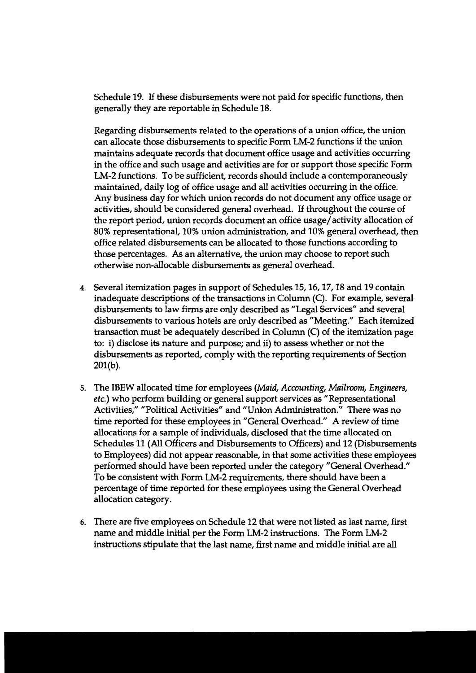Schedule 19. If these disbursements were not paid for specific functions, then generally they are reportable in Schedule 18.

Regarding disbursements related to the operations of a union office, the union can allocate those disbursements to specific Form LM-2 functions if the union maintains adequate records that document office usage and activities occurring in the office and such usage and activities are for or support those specific Form LM-2 functions. To be sufficient, records should include a contemporaneously maintained, daily log of office usage and all activities occurring in the office. Any business day for which union records do not document any office usage or activities, should be considered general overhead. If throughout the course of the report period, union records document an office usage/activity allocation of 80% representational, 10% union administration, and 10% general overhead, then office related disbursements can be allocated to those functions according to those percentages. **As** an alternative, the union may choose to report such otherwise non-allocable disbursements as general overhead.

- 4. Several itemization pages in support of Schedules 15,16,17,18 and 19 contain inadequate descriptions of the transactions in Column (C). For example, several disbursements to law firms are only described as "Legal Services" and several disbursements to various hotels are only described as "Meeting." Each itemized transaction must be adequately described in Column  $(C)$  of the itemization page to: i) disclose its nature and purpose; and ii) to assess whether or not the disbursements as reported, comply with the reporting requirements of Section  $201(b)$ .
- 5. The IBEW allocated time for employees **(Maid,** Accounting, Mailroom, Engineers, etc.) who perform building or general support services as "Representational Activities," "Political Activities" and "Union Administration." There was no time reported for these employees in "General Overhead." A review of time allocations for a sample of individuals, disclosed that the time allocated on Schedules 11 (All Officers and Disbursements to Officers) and 12 (Disbursements to Employees) did not appear reasonable, in that some activities these employees performed should have been reported under the category "General Overhead." To be consistent with Form LM-2 requirements, there should have been a percentage of time reported for these employees using the General Overhead allocation category.
- 6. There are five employees on Schedule 12 that were not listed as last name, first name and middle initial per the Form LM-2 instructions. The Form LM-2 instructions stipulate that the last name, first name and middle initial are all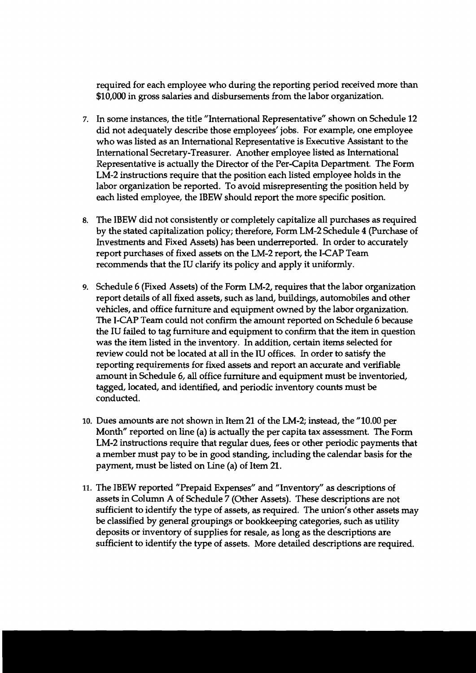required for each employee who during the reporting period received more than \$10,000 in gross salaries and disbursements from the labor organization.

- In some instances, the title "International Representative" shown on Schedule 12 did not adequately describe those employees' jobs. For example, one employee who was listed as an International Representative is Executive Assistant to the International Secretary-Treasurer. Another employee listed as International Representative is actually the Director of the Per-Capita Department. The Form LM-2 instructions require that the position each listed employee holds in the labor organization be reported. To avoid misrepresenting the position held by each listed employee, the IBEW should report the more specific position.
- 8. The IBEW did not consistently or completely capitalize all purchases as required by the stated capitalization policy; therefore, Form LM-2 Schedule 4 (Purchase of Investments and Fixed Assets) has been underreported. In order to accurately report purchases of fixed assets on the LM-2 report, the I-CAP Team recommends that the IU clarify its policy and apply it uniformly.
- 9. Schedule 6 (Fixed Assets) of the Form LM-2, requires that the labor organization report details of all fixed assets, such as land, buildings, automobiles and other vehicles, and office furniture and equipment owned by the labor organization. The I-CAP Team could not confirm the amount reported on Schedule 6 because the IU failed to tag furniture and equipment to confirm that the item in question was the item listed in the inventory. In addition, certain items selected for review could not be located at all in the IU offices. In order to satisfy the reporting requirements for fixed assets and report an accurate and verifiable amount in Schedule 6, **all** office furniture and equipment must be inventoried, tagged, located, and identified, and periodic inventory counts must be conducted.
- **10.** Dues amounts are not shown in Item 21 of the LM-2; instead, the "10.00 per Month" reported on line (a) is actually the per capita tax assessment. The Form LM-2 instructions require that regular dues, fees or other periodic payments that a member must pay to be in good standing, including the calendar basis for the payment, must be listed on Line (a) of Item 21.
- **11.** The IBEW reported "Prepaid Expenses" and "Inventory" as descriptions of assets in Column A of Schedule 7 (Other Assets). These descriptions are not sufficient to identify the type of assets, as required. The union's other assets may be classified by general groupings or bookkeeping categories, such as utility deposits or inventory of supplies for resale, as long as the descriptions are sufficient to identify the type of assets. More detailed descriptions are required.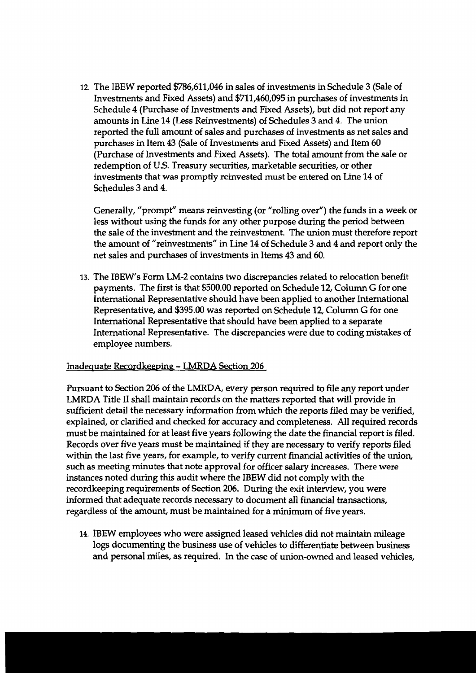The IBEW reported \$786,611,046 in sales of investments in Schedule 3 (Sale of Investments and Fixed Assets) and \$711,460,095 in purchases of investments in Schedule **4** (Purchase of Investments and Fixed Assets), but did not report any amounts in Line 14 (Less Reinvestments) of Schedules 3 and 4. The union reported the full amount of sales and purchases of investments as net sales and purchases in Item 43 (Sale of Investments and Fixed Assets) and Item 60 (Purchase of Investments and Fixed Assets). The total amount from the sale or redemption of U.S. Treasury securities, marketable securities, or other investments that was promptly reinvested must be entered on Line **14** of Schedules **3** and 4.

Generally, "prompt" means reinvesting (or "rolling over") the funds in a week or less without using the funds for any other purpose during the period between the sale of the investment and the reinvestment. The union must therefore report the amount of "reinvestments" in Line **14** of Schedule 3 and 4 and report only the net sales and purchases of investments in Items 43 and 60.

13. The IBEW's Form LM-2 contains two discrepancies related to relocation benefit payments. The first is that \$500.00 reported on Schedule 12, Column G for one International Representative should have been applied to another International Representative, and \$395.00 was reported on Schedule 12, Column G for one International Representative that should have been applied to a separate International Representative. The discrepancies were due to coding mistakes of employee numbers.

## Inadequate Recordkeeping - LMRDA Section 206

Pursuant to Section 206 of the LMRDA, every person required to file any report under LMRDA Title I1 shall maintain records on the matters reported that will provide in sufficient detail the necessary information from which the reports filed may be verified, explained, or clarified and checked for accuracy and completeness. All required records must be maintained for at least five years following the date the financial report is filed. Records over five years must be maintained if they are necessary to verify reports filed within the last five years, for example, to verify current financial activities of the union, such as meeting minutes that note approval for officer salary increases. There were instances noted during this audit where the IBEW did not comply with the recordkeeping requirements of Section 206. **During** the exit interview, you were informed that adequate records necessary to document all financial transactions, regardless of the amount, must be maintained for a minimum of five years.

14. IBEW employees who were assigned leased vehicles did not maintain mileage logs documenting the business use of vehicles to differentiate between business and personal miles, as required. In the case of union-owned and leased vehicles,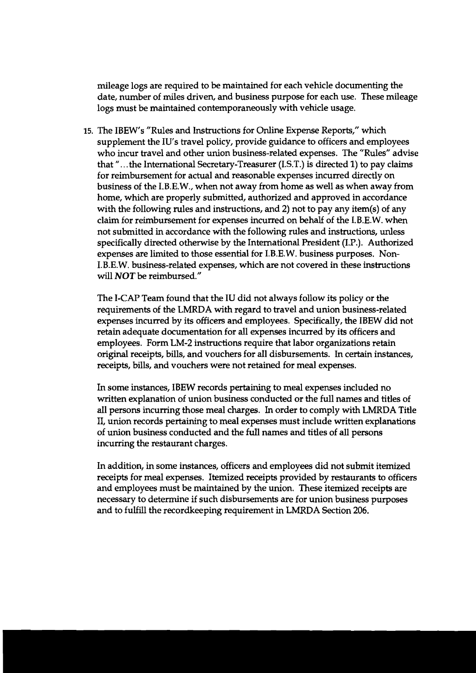mileage logs are required to be maintained for each vehicle documenting the date, number of miles driven, and business purpose for each use. These mileage logs must be maintained contemporaneously with vehicle usage.

15. The IBEW's "Rules and Instructions for Online Expense Reports," which supplement the IU's travel policy, provide guidance to officers and employees who incur travel and other union business-related expenses. The "Rules" advise that " . . .the International Secretary-Treasurer (I.S.T.) is directed 1) to pay claims for reimbursement for actual and reasonable expenses incurred directly on business of the I.B.E.W., when not away from home as well as when away from home, which are properly submitted, authorized and approved in accordance with the following rules and instructions, and 2) not to pay any item(s) of any claim for reimbursement for expenses incurred on behalf of the I.B.E.W. when not submitted in accordance with the following rules and instructions, unless specifically directed otherwise by the International Resident (I.P.). Authorized expenses are limited to those essential for I.B.E.W. business purposes. Non-I.B.E.W. business-related expenses, which are not covered in these instructions will NOT be reimbursed."

The I-CAP Team found that the IU did not always follow its policy or the requirements of the LMRDA with regard to travel and union business-related expenses incurred by its officers and employees. Specifically, the IBEW did not retain adequate documentation for all expenses incurred by its officers and employees. Form LM-2 instructions require that labor organizations retain original receipts, bills, and vouchers for all disbursements. In certain instances, receipts, bills, and vouchers were not retained for meal expenses.

In some instances, IBEW records pertaining to meal expenses included no written explanation of union business conducted or the full names and titles of all persons incurring those meal charges. In order to comply with LMRDA Title 11, union records pertaining to meal expenses must include written explanations of union business conducted and the full names and titles of all persons incurring the restaurant charges.

In addition, in some instances, officers and employees did not submit itemized receipts for meal expenses. Itemized receipts provided by restaurants to officers and employees must be maintained by the union. These itemized receipts are necessary to determine if such disbursements are for union business purposes and to fulfill the recordkeeping requirement in LMRDA Section 206.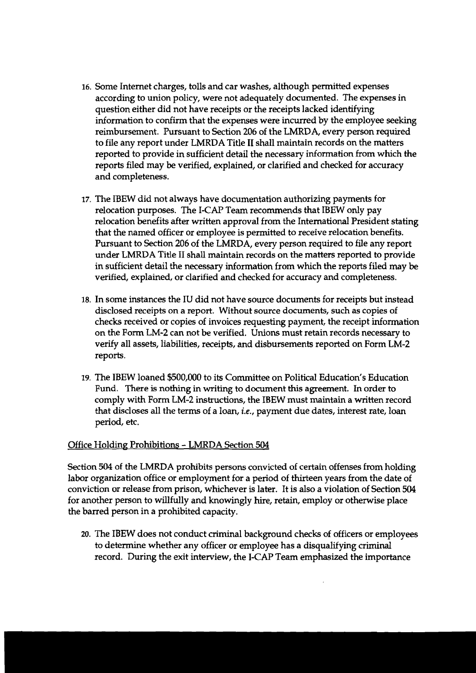- 16. Some Internet charges, tolls and car washes, although permitted expenses according to union policy, were not adequately documented. The expenses in question either did not have receipts or the receipts lacked identifying information to confirm that the expenses were incurred by the employee seeking reimbursement. Pursuant to Section 206 of the LMRDA, every person required to file any report under LMRDA Title I1 shall maintain records on the matters reported to provide in sufficient detail the necessary information from which the reports filed may be verified, explained, or clarified and checked for accuracy and completeness.
- 17. The IBEW did not always have documentation authorizing payments for relocation purposes. The I-CAP Team recommends that IBEW only pay relocation benefits after written approval from the International President stating that the named officer or employee is permitted to receive relocation benefits. Pursuant to Section 206 of the LMRDA, every person required to file any report under LMRDA Title I1 shall maintain records on the matters reported to provide in sufficient detail the necessary information from which the reports filed may be verified, explained, or clarified and checked for accuracy and completeness.
- 18. In some instances the IU did not have source documents for receipts but instead disclosed receipts on a report. Without source documents, such as copies of checks received or copies of invoices requesting payment, the receipt information on the Form LM-2 can not be verified. Unions must retain records necessary to verify all assets, liabilities, receipts, and disbursements reported on Form LM-2 reports.
- 19. The IBEW loaned \$500,000 to its Committee on Political Education's Education Fund. There is nothing in writing to document this agreement. In order to comply with Form LM-2 instructions, the IBEW must maintain a written record that discloses all the terms of a loan, *i.e.,* payment due dates, interest rate, loan period, etc.

## Office Holding Prohibitions - LMRDA Section 504

Section 504 of the LMRDA prohibits persons convicted of certain offenses from holding labor organization office or employment for a period of thirteen years from the date of conviction or release from prison, whichever is later. It is also a violation of Section 504 for another person to willfully and knowingly hire, retain, employ or otherwise place the barred person in a prohibited capacity.

**20.** The IBEW does not conduct criminal background checks of officers or employees to determine whether any officer or employee has a disqualifying criminal record. During the exit interview, the I-CAP Team emphasized the importance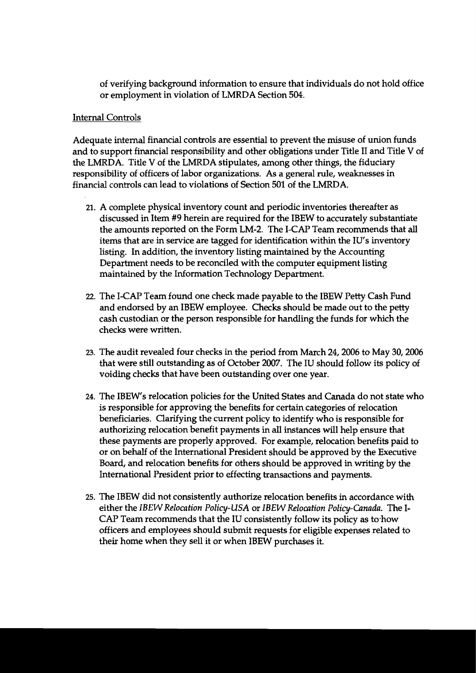of verifying background information to ensure that individuals do not hold office or employment in violation of LMRDA Section 504.

## Internal Controls

Adequate internal financial controls are essential to prevent the misuse of union funds and to support financial responsibility and other obligations under Title I1 and Title V of the LMRDA. Title V of the LMRDA stipulates, among other things, the fiduciary responsibility of officers of labor organizations. As a general rule, weaknesses in financial controls can lead to violations of Section 501 of the LMRDA.

- **21.** A complete physical inventory count and periodic inventories thereafter as discussed in Item **#9** herein are required for the IBEW to accurately substantiate the amounts reported on the Form LM-2. The I-CAP Team recommends that **all**  items that are in service are tagged for identification within the IU's inventory listing. In addition, the inventory listing maintained by the Accounting Department needs to be reconciled with the computer equipment listing maintained by the Information Technology Department.
- 22. The I-CAP Team found one check made payable to the lBEW Petty Cash Fund and endorsed by an IBEW employee. Checks should be made out to the petty cash custodian or the person responsible for handling the funds for which the checks were written.
- 23. The audit revealed four checks in the period from March 24, 2006 to May 30, 2006 that were still outstanding as of October 2007. The IU should follow its policy of voiding checks that have been outstanding over one year.
- 24. The IBEW's relocation policies for the United States and Canada do not state who is responsible for approving the benefits for certain categories of relocation beneficiaries. Clarifying the current policy to identify who is responsible for authorizing relocation benefit payments in all instances will help ensure that these payments are properly approved. For example, relocation benefits paid to or on behalf of the International President should be approved by the Executive Board, and relocation benefits for others should be approved in writing by the International President prior to effecting transactions and payments.
- 25. The IBEW did not consistently authorize relocation benefits in accordance with either the *IBEW Relocation Policy-USA* or *IBEW Relocation Policy-Canada*. The I-CAP Team recommends that the IU consistently follow its policy as to how officers and employees should submit requests for eligible expenses related to their home when they sell it or when IBEW purchases it.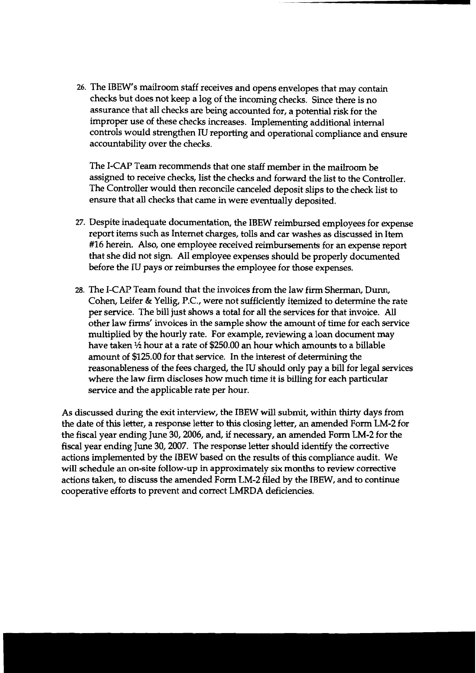26. The IBEW's mailroom staff receives and opens envelopes that may contain checks but does not keep a log of the incoming checks. Since there is no assurance that all checks are being accounted for, a potential risk for the improper use of these checks increases. Implementing additional internal controls would strengthen IU reporting and operational compliance and ensure accountability over the checks.

The I-CAP Team recommends that one staff member in the mailroom be assigned to receive checks, list the checks and forward the list to the Controller. The Controller would then reconcile canceled deposit slips to the check list to ensure that all checks that came in were eventually deposited.

- 27. Despite inadequate documentation, the IBEW reimbursed employees for expense report items such as Internet charges, tolls and car washes as discussed in Item #16 herein. Also, one employee received reimbursements for an expense report that she did not sign. All employee expenses should be properly documented before the IU pays or reimburses the employee for those expenses.
- 28. The I-CAP Team found that the invoices from the law firm Sherman, Durn, Cohen, Leifer & Yellig, P.C., were not sufficiently itemized to determine the rate per service. The bill just shows a total for all the services for that invoice. All other law firms' invoices in the sample show the amount of time for each service multiplied by the hourly rate. For example, reviewing a loan document may have taken  $\frac{1}{2}$  hour at a rate of \$250.00 an hour which amounts to a billable amount of \$125.00 for that service. In the interest of determining the reasonableness of the fees charged, the IU should only pay a bill for legal services where the law firm discloses how much time it is billing for each particular service and the applicable rate per hour.

As discussed during the exit interview, the IBEW will submit, within thirty days from the date of this letter, a response letter to this closing letter, an amended Form LM-2 for the fiscal year ending June 30,2006, and, if necessary, an amended Form LM-2 for the fiscal year ending June 30,2007. The response letter should identify the corrective actions implemented by the IBEW based on the results of this compliance audit. We will schedule an on-site follow-up in approximately six months to review corrective actions taken, to discuss the amended Form LM-2 filed by the IBEW, and to continue cooperative efforts to prevent and correct LMRDA deficiencies.